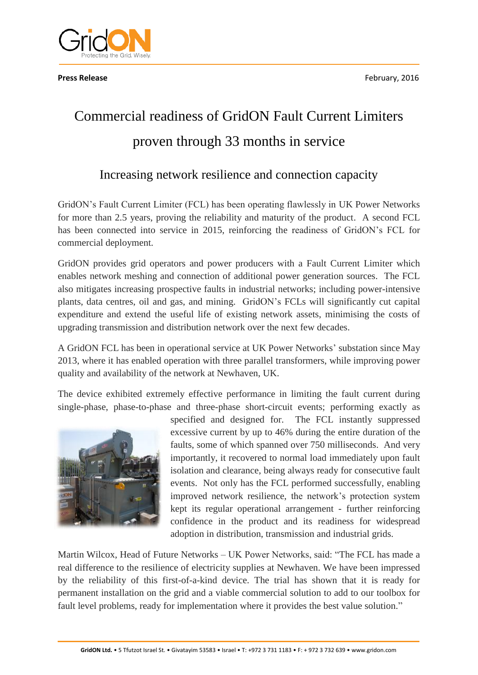

# Commercial readiness of GridON Fault Current Limiters proven through 33 months in service

## Increasing network resilience and connection capacity

GridON's Fault Current Limiter (FCL) has been operating flawlessly in UK Power Networks for more than 2.5 years, proving the reliability and maturity of the product. A second FCL has been connected into service in 2015, reinforcing the readiness of GridON's FCL for commercial deployment.

GridON provides grid operators and power producers with a Fault Current Limiter which enables network meshing and connection of additional power generation sources. The FCL also mitigates increasing prospective faults in industrial networks; including power-intensive plants, data centres, oil and gas, and mining. GridON's FCLs will significantly cut capital expenditure and extend the useful life of existing network assets, minimising the costs of upgrading transmission and distribution network over the next few decades.

A GridON FCL has been in operational service at UK Power Networks' substation since May 2013, where it has enabled operation with three parallel transformers, while improving power quality and availability of the network at Newhaven, UK.

The device exhibited extremely effective performance in limiting the fault current during single-phase, phase-to-phase and three-phase short-circuit events; performing exactly as



specified and designed for. The FCL instantly suppressed excessive current by up to 46% during the entire duration of the faults, some of which spanned over 750 milliseconds. And very importantly, it recovered to normal load immediately upon fault isolation and clearance, being always ready for consecutive fault events. Not only has the FCL performed successfully, enabling improved network resilience, the network's protection system kept its regular operational arrangement - further reinforcing confidence in the product and its readiness for widespread adoption in distribution, transmission and industrial grids.

Martin Wilcox, Head of Future Networks – UK Power Networks, said: "The FCL has made a real difference to the resilience of electricity supplies at Newhaven. We have been impressed by the reliability of this first-of-a-kind device. The trial has shown that it is ready for permanent installation on the grid and a viable commercial solution to add to our toolbox for fault level problems, ready for implementation where it provides the best value solution."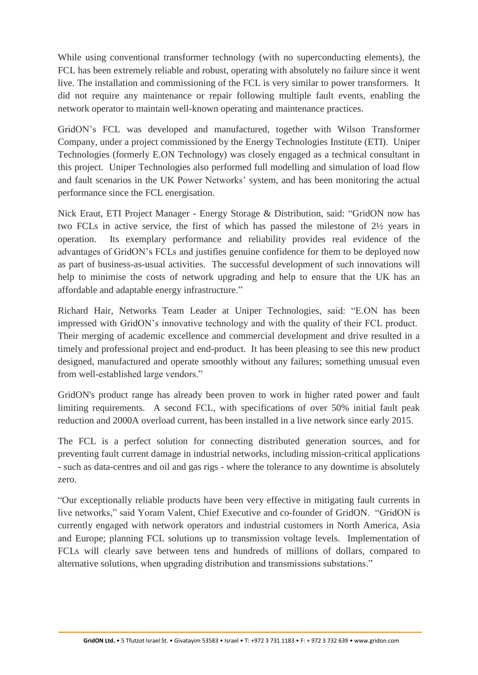While using conventional transformer technology (with no superconducting elements), the FCL has been extremely reliable and robust, operating with absolutely no failure since it went live. The installation and commissioning of the FCL is very similar to power transformers. It did not require any maintenance or repair following multiple fault events, enabling the network operator to maintain well-known operating and maintenance practices.

GridON's FCL was developed and manufactured, together with Wilson Transformer Company, under a project commissioned by the Energy Technologies Institute (ETI). Uniper Technologies (formerly E.ON Technology) was closely engaged as a technical consultant in this project. Uniper Technologies also performed full modelling and simulation of load flow and fault scenarios in the UK Power Networks' system, and has been monitoring the actual performance since the FCL energisation.

Nick Eraut, ETI Project Manager - Energy Storage & Distribution, said: "GridON now has two FCLs in active service, the first of which has passed the milestone of 2½ years in operation. Its exemplary performance and reliability provides real evidence of the advantages of GridON's FCLs and justifies genuine confidence for them to be deployed now as part of business-as-usual activities. The successful development of such innovations will help to minimise the costs of network upgrading and help to ensure that the UK has an affordable and adaptable energy infrastructure."

Richard Hair, Networks Team Leader at Uniper Technologies, said: "E.ON has been impressed with GridON's innovative technology and with the quality of their FCL product. Their merging of academic excellence and commercial development and drive resulted in a timely and professional project and end-product. It has been pleasing to see this new product designed, manufactured and operate smoothly without any failures; something unusual even from well-established large vendors."

GridON's product range has already been proven to work in higher rated power and fault limiting requirements. A second FCL, with specifications of over 50% initial fault peak reduction and 2000A overload current, has been installed in a live network since early 2015.

The FCL is a perfect solution for connecting distributed generation sources, and for preventing fault current damage in industrial networks, including mission-critical applications - such as data-centres and oil and gas rigs - where the tolerance to any downtime is absolutely zero.

"Our exceptionally reliable products have been very effective in mitigating fault currents in live networks," said Yoram Valent, Chief Executive and co-founder of GridON. "GridON is currently engaged with network operators and industrial customers in North America, Asia and Europe; planning FCL solutions up to transmission voltage levels. Implementation of FCLs will clearly save between tens and hundreds of millions of dollars, compared to alternative solutions, when upgrading distribution and transmissions substations."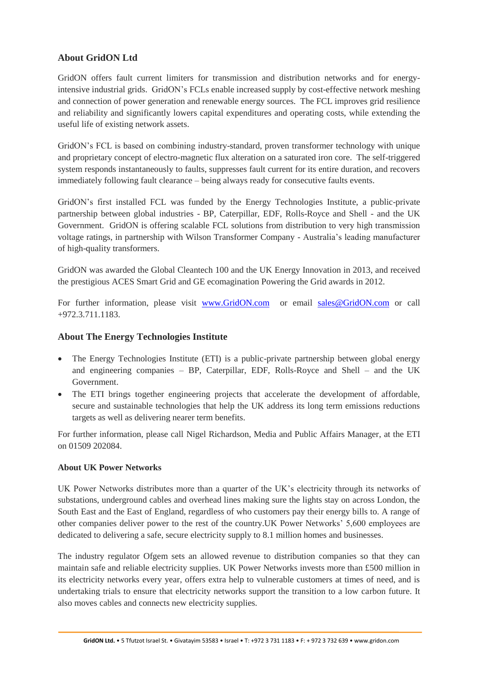### **About GridON Ltd**

GridON offers fault current limiters for transmission and distribution networks and for energyintensive industrial grids. GridON's FCLs enable increased supply by cost-effective network meshing and connection of power generation and renewable energy sources. The FCL improves grid resilience and reliability and significantly lowers capital expenditures and operating costs, while extending the useful life of existing network assets.

GridON's FCL is based on combining industry-standard, proven transformer technology with unique and proprietary concept of electro-magnetic flux alteration on a saturated iron core. The self-triggered system responds instantaneously to faults, suppresses fault current for its entire duration, and recovers immediately following fault clearance – being always ready for consecutive faults events.

GridON's first installed FCL was funded by the Energy Technologies Institute, a public-private partnership between global industries - BP, Caterpillar, EDF, Rolls-Royce and Shell - and the UK Government. GridON is offering scalable FCL solutions from distribution to very high transmission voltage ratings, in partnership with Wilson Transformer Company - Australia's leading manufacturer of high-quality transformers.

GridON was awarded the Global Cleantech 100 and the UK Energy Innovation in 2013, and received the prestigious ACES Smart Grid and GE ecomagination Powering the Grid awards in 2012.

For further information, please visit [www.GridON.com](http://www.gridon.com/) or email [sales@GridON.com](mailto:sales@GridON.com) or call +972.3.711.1183.

#### **About The Energy Technologies Institute**

- The Energy Technologies Institute (ETI) is a public-private partnership between global energy and engineering companies – BP, Caterpillar, EDF, Rolls-Royce and Shell – and the UK Government.
- The ETI brings together engineering projects that accelerate the development of affordable, secure and sustainable technologies that help the UK address its long term emissions reductions targets as well as delivering nearer term benefits.

For further information, please call Nigel Richardson, Media and Public Affairs Manager, at the ETI on 01509 202084.

#### **About UK Power Networks**

UK Power Networks distributes more than a quarter of the UK's electricity through its networks of substations, underground cables and overhead lines making sure the lights stay on across London, the South East and the East of England, regardless of who customers pay their energy bills to. A range of other companies deliver power to the rest of the country.UK Power Networks' 5,600 employees are dedicated to delivering a safe, secure electricity supply to 8.1 million homes and businesses.

The industry regulator Ofgem sets an allowed revenue to distribution companies so that they can maintain safe and reliable electricity supplies. UK Power Networks invests more than £500 million in its electricity networks every year, offers extra help to vulnerable customers at times of need, and is undertaking trials to ensure that electricity networks support the transition to a low carbon future. It also moves cables and connects new electricity supplies.